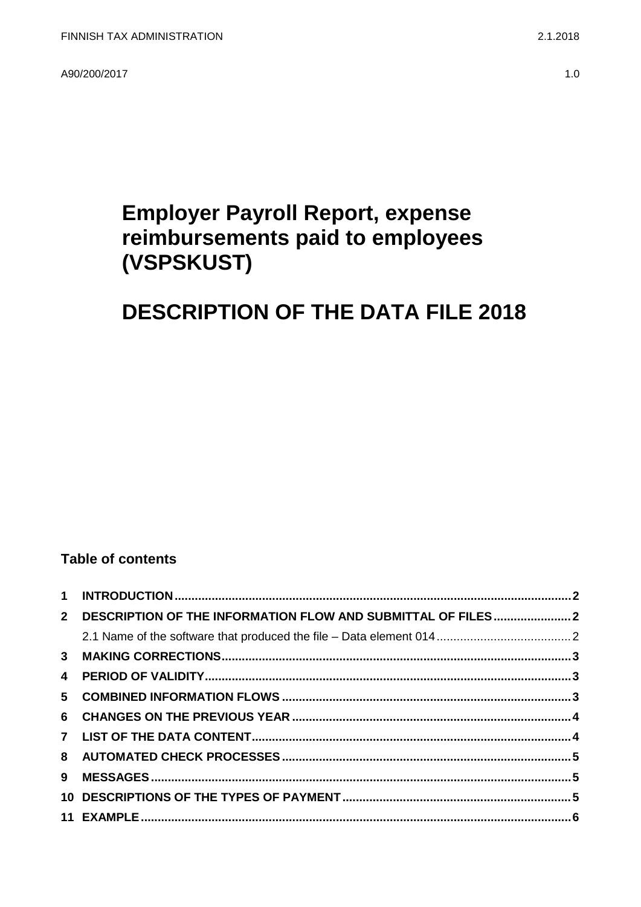A90/200/2017

# **Employer Payroll Report, expense** reimbursements paid to employees (VSPSKUST)

# **DESCRIPTION OF THE DATA FILE 2018**

### **Table of contents**

| $2^{\circ}$             | DESCRIPTION OF THE INFORMATION FLOW AND SUBMITTAL OF FILES2 |  |
|-------------------------|-------------------------------------------------------------|--|
|                         |                                                             |  |
|                         |                                                             |  |
| $\overline{\mathbf{4}}$ |                                                             |  |
|                         |                                                             |  |
|                         |                                                             |  |
|                         |                                                             |  |
|                         |                                                             |  |
| 9                       |                                                             |  |
|                         |                                                             |  |
|                         |                                                             |  |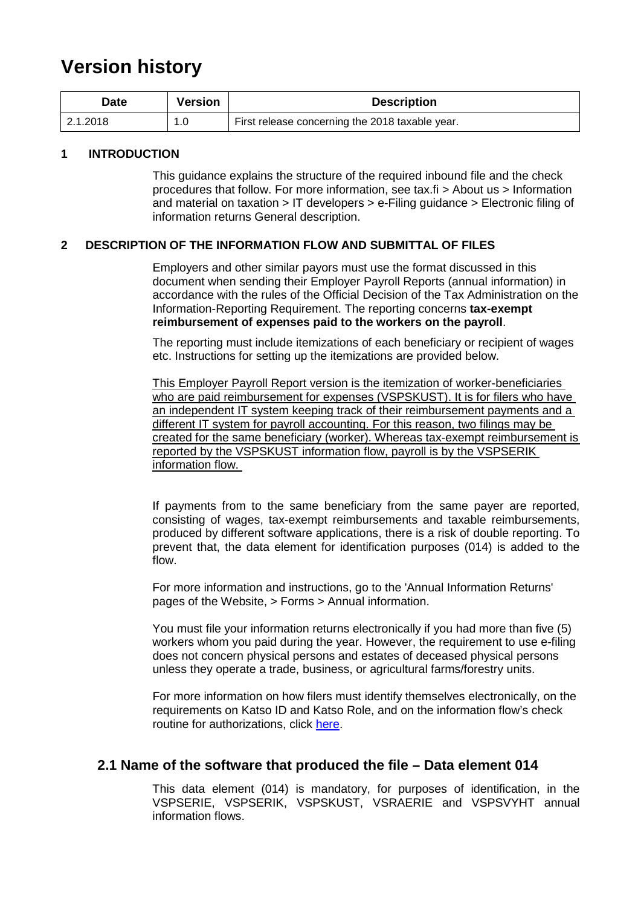## **Version history**

| Date      | <b>Version</b> | <b>Description</b>                              |
|-----------|----------------|-------------------------------------------------|
| 12.1.2018 | 1.0            | First release concerning the 2018 taxable year. |

#### <span id="page-1-0"></span>**1 INTRODUCTION**

This guidance explains the structure of the required inbound file and the check procedures that follow. For more information, see tax.fi > About us > Information and material on taxation > IT developers > e-Filing guidance > Electronic filing of information returns General description.

#### <span id="page-1-1"></span>**2 DESCRIPTION OF THE INFORMATION FLOW AND SUBMITTAL OF FILES**

Employers and other similar payors must use the format discussed in this document when sending their Employer Payroll Reports (annual information) in accordance with the rules of the Official Decision of the Tax Administration on the Information-Reporting Requirement. The reporting concerns **tax-exempt reimbursement of expenses paid to the workers on the payroll**.

The reporting must include itemizations of each beneficiary or recipient of wages etc. Instructions for setting up the itemizations are provided below.

This Employer Payroll Report version is the itemization of worker-beneficiaries who are paid reimbursement for expenses (VSPSKUST). It is for filers who have an independent IT system keeping track of their reimbursement payments and a different IT system for payroll accounting. For this reason, two filings may be created for the same beneficiary (worker). Whereas tax-exempt reimbursement is reported by the VSPSKUST information flow, payroll is by the VSPSERIK information flow.

If payments from to the same beneficiary from the same payer are reported, consisting of wages, tax-exempt reimbursements and taxable reimbursements, produced by different software applications, there is a risk of double reporting. To prevent that, the data element for identification purposes (014) is added to the flow.

For more information and instructions, go to the 'Annual Information Returns' pages of the Website, > Forms > Annual information.

You must file your information returns electronically if you had more than five (5) workers whom you paid during the year. However, the requirement to use e-filing does not concern physical persons and estates of deceased physical persons unless they operate a trade, business, or agricultural farms/forestry units.

For more information on how filers must identify themselves electronically, on the requirements on Katso ID and Katso Role, and on the information flow's check routine for authorizations, click [here.](https://www.ilmoitin.fi/webtamo/sivut/IlmoituslajiRoolit?kieli=en&tv=VSPSKUST)

#### <span id="page-1-2"></span>**2.1 Name of the software that produced the file – Data element 014**

This data element (014) is mandatory, for purposes of identification, in the VSPSERIE, VSPSERIK, VSPSKUST, VSRAERIE and VSPSVYHT annual information flows.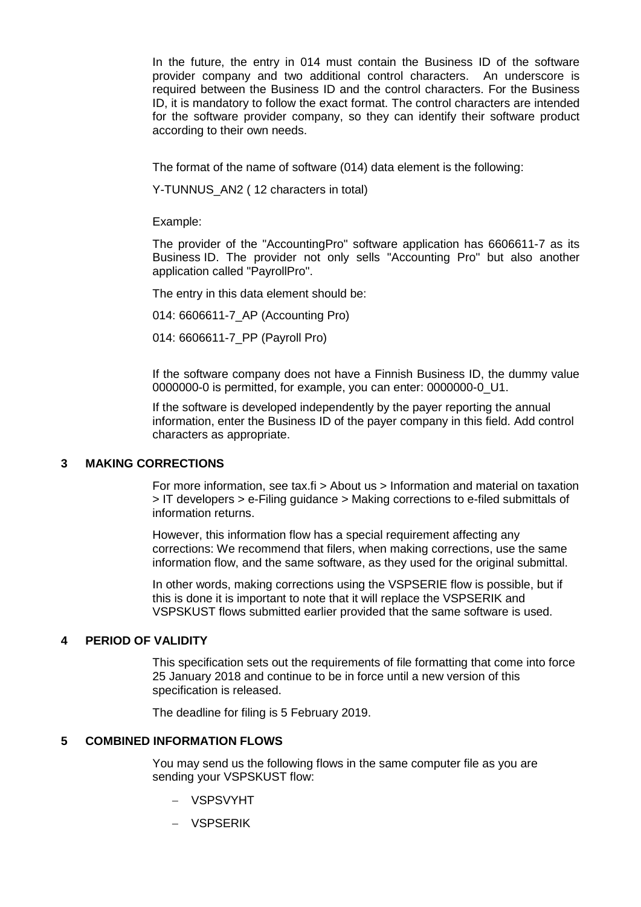In the future, the entry in 014 must contain the Business ID of the software provider company and two additional control characters. An underscore is required between the Business ID and the control characters. For the Business ID, it is mandatory to follow the exact format. The control characters are intended for the software provider company, so they can identify their software product according to their own needs.

The format of the name of software (014) data element is the following:

Y-TUNNUS\_AN2 ( 12 characters in total)

Example:

The provider of the "AccountingPro" software application has 6606611-7 as its Business ID. The provider not only sells "Accounting Pro" but also another application called "PayrollPro".

The entry in this data element should be:

014: 6606611-7\_AP (Accounting Pro)

014: 6606611-7\_PP (Payroll Pro)

If the software company does not have a Finnish Business ID, the dummy value 0000000-0 is permitted, for example, you can enter: 0000000-0\_U1.

If the software is developed independently by the payer reporting the annual information, enter the Business ID of the payer company in this field. Add control characters as appropriate.

#### <span id="page-2-0"></span>**3 MAKING CORRECTIONS**

For more information, see tax.fi > About us > Information and material on taxation > IT developers > e-Filing guidance > Making corrections to e-filed submittals of information returns.

However, this information flow has a special requirement affecting any corrections: We recommend that filers, when making corrections, use the same information flow, and the same software, as they used for the original submittal.

In other words, making corrections using the VSPSERIE flow is possible, but if this is done it is important to note that it will replace the VSPSERIK and VSPSKUST flows submitted earlier provided that the same software is used.

#### <span id="page-2-1"></span>**4 PERIOD OF VALIDITY**

This specification sets out the requirements of file formatting that come into force 25 January 2018 and continue to be in force until a new version of this specification is released.

The deadline for filing is 5 February 2019.

#### <span id="page-2-2"></span>**5 COMBINED INFORMATION FLOWS**

You may send us the following flows in the same computer file as you are sending your VSPSKUST flow:

- − VSPSVYHT
- − VSPSERIK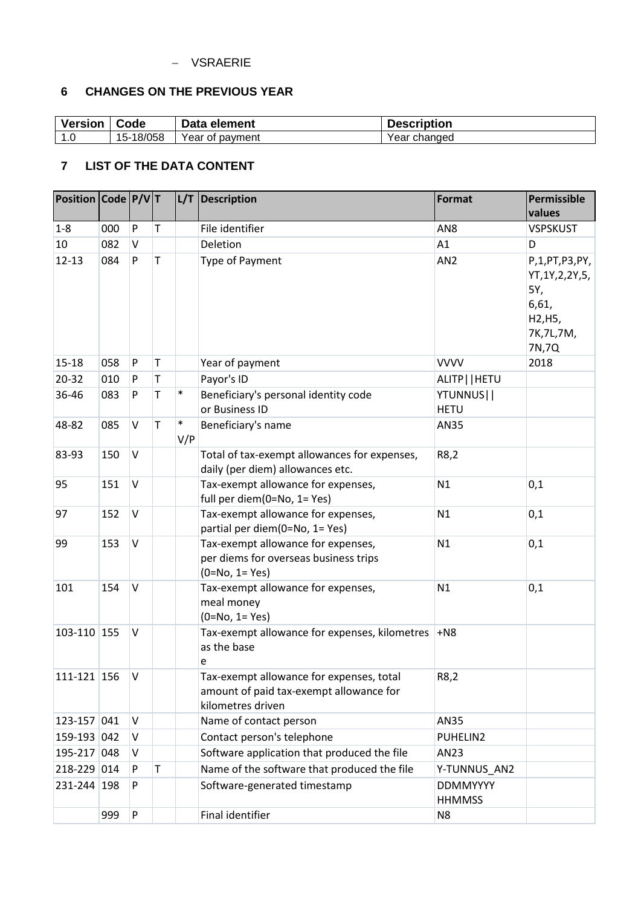#### − VSRAERIE

### <span id="page-3-0"></span>**6 CHANGES ON THE PREVIOUS YEAR**

| <b>Version</b> | Code      | Data element    | <b>Description</b> |
|----------------|-----------|-----------------|--------------------|
| $\overline{ }$ | 15-18/058 | Year of payment | Year changed       |

## <span id="page-3-1"></span>**7 LIST OF THE DATA CONTENT**

| Position Code P/VT |     |              |   | L/T           | Description                                                                                              | Format                           | Permissible<br>values                                                                 |
|--------------------|-----|--------------|---|---------------|----------------------------------------------------------------------------------------------------------|----------------------------------|---------------------------------------------------------------------------------------|
| $1 - 8$            | 000 | P            | T |               | File identifier                                                                                          | AN <sub>8</sub>                  | <b>VSPSKUST</b>                                                                       |
| 10                 | 082 | $\vee$       |   |               | Deletion                                                                                                 | A1                               | D                                                                                     |
| $12 - 13$          | 084 | P            | T |               | Type of Payment                                                                                          | AN <sub>2</sub>                  | P,1,PT,P3,PY,<br>YT, 1Y, 2, 2Y, 5,<br>5Y,<br>6,61,<br>H2, H5,<br>7K, 7L, 7M,<br>7N,7Q |
| 15-18              | 058 | P            | T |               | Year of payment                                                                                          | <b>VVVV</b>                      | 2018                                                                                  |
| 20-32              | 010 | P            | T |               | Payor's ID                                                                                               | ALITP     HETU                   |                                                                                       |
| 36-46              | 083 | P            | T | $\ast$        | Beneficiary's personal identity code<br>or Business ID                                                   | YTUNNUS  <br><b>HETU</b>         |                                                                                       |
| 48-82              | 085 | $\vee$       | T | $\ast$<br>V/P | Beneficiary's name                                                                                       | <b>AN35</b>                      |                                                                                       |
| 83-93              | 150 | $\vee$       |   |               | Total of tax-exempt allowances for expenses,<br>daily (per diem) allowances etc.                         | R8,2                             |                                                                                       |
| 95                 | 151 | V            |   |               | Tax-exempt allowance for expenses,<br>full per diem(0=No, 1= Yes)                                        | N1                               | 0,1                                                                                   |
| 97                 | 152 | $\mathsf{V}$ |   |               | Tax-exempt allowance for expenses,<br>partial per diem(0=No, 1= Yes)                                     | N1                               | 0,1                                                                                   |
| 99                 | 153 | $\vee$       |   |               | Tax-exempt allowance for expenses,<br>per diems for overseas business trips<br>$(0=No, 1=Yes)$           | N1                               | 0,1                                                                                   |
| 101                | 154 | $\mathsf{V}$ |   |               | Tax-exempt allowance for expenses,<br>meal money<br>$(0=No, 1=Yes)$                                      | N1                               | 0,1                                                                                   |
| 103-110 155        |     | V            |   |               | Tax-exempt allowance for expenses, kilometres<br>as the base<br>e                                        | $+N8$                            |                                                                                       |
| 111-121   156      |     | v            |   |               | Tax-exempt allowance for expenses, total<br>amount of paid tax-exempt allowance for<br>kilometres driven | R8,2                             |                                                                                       |
| 123-157 041        |     | V            |   |               | Name of contact person                                                                                   | AN35                             |                                                                                       |
| 159-193 042        |     | V            |   |               | Contact person's telephone                                                                               | PUHELIN2                         |                                                                                       |
| 195-217 048        |     | V            |   |               | Software application that produced the file                                                              | AN23                             |                                                                                       |
| 218-229 014        |     | P            | T |               | Name of the software that produced the file                                                              | Y-TUNNUS_AN2                     |                                                                                       |
| 231-244 198        |     | P            |   |               | Software-generated timestamp                                                                             | <b>DDMMYYYY</b><br><b>HHMMSS</b> |                                                                                       |
|                    | 999 | ${\sf P}$    |   |               | Final identifier                                                                                         | N <sub>8</sub>                   |                                                                                       |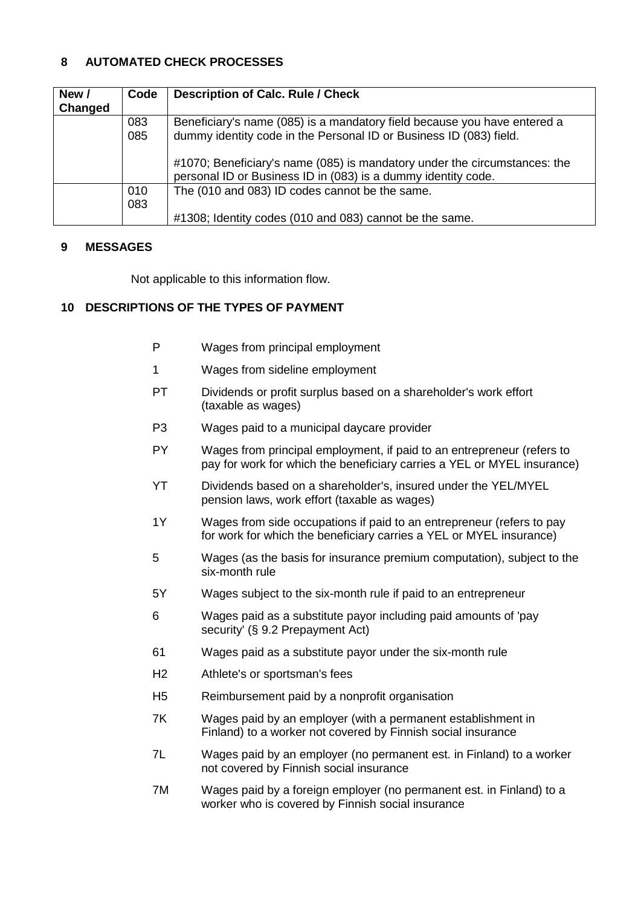#### <span id="page-4-0"></span>**8 AUTOMATED CHECK PROCESSES**

| New /   | Code | <b>Description of Calc. Rule / Check</b>                                                                                                   |
|---------|------|--------------------------------------------------------------------------------------------------------------------------------------------|
| Changed |      |                                                                                                                                            |
|         | 083  | Beneficiary's name (085) is a mandatory field because you have entered a                                                                   |
|         | 085  | dummy identity code in the Personal ID or Business ID (083) field.                                                                         |
|         |      | #1070; Beneficiary's name (085) is mandatory under the circumstances: the<br>personal ID or Business ID in (083) is a dummy identity code. |
|         | 010  | The (010 and 083) ID codes cannot be the same.                                                                                             |
|         | 083  |                                                                                                                                            |
|         |      | #1308; Identity codes (010 and 083) cannot be the same.                                                                                    |

#### <span id="page-4-1"></span>**9 MESSAGES**

Not applicable to this information flow.

#### <span id="page-4-2"></span>**10 DESCRIPTIONS OF THE TYPES OF PAYMENT**

- P Wages from principal employment
- 1 Wages from sideline employment
- PT Dividends or profit surplus based on a shareholder's work effort (taxable as wages)
- P3 Wages paid to a municipal daycare provider
- PY Wages from principal employment, if paid to an entrepreneur (refers to pay for work for which the beneficiary carries a YEL or MYEL insurance)
- YT Dividends based on a shareholder's, insured under the YEL/MYEL pension laws, work effort (taxable as wages)
- 1Y Wages from side occupations if paid to an entrepreneur (refers to pay for work for which the beneficiary carries a YEL or MYEL insurance)
- 5 Wages (as the basis for insurance premium computation), subject to the six-month rule
- 5Y Wages subject to the six-month rule if paid to an entrepreneur
- 6 Wages paid as a substitute payor including paid amounts of 'pay security' (§ 9.2 Prepayment Act)
- 61 Wages paid as a substitute payor under the six-month rule
- H2 Athlete's or sportsman's fees
- H5 Reimbursement paid by a nonprofit organisation
- 7K Wages paid by an employer (with a permanent establishment in Finland) to a worker not covered by Finnish social insurance
- 7L Wages paid by an employer (no permanent est. in Finland) to a worker not covered by Finnish social insurance
- 7M Wages paid by a foreign employer (no permanent est. in Finland) to a worker who is covered by Finnish social insurance